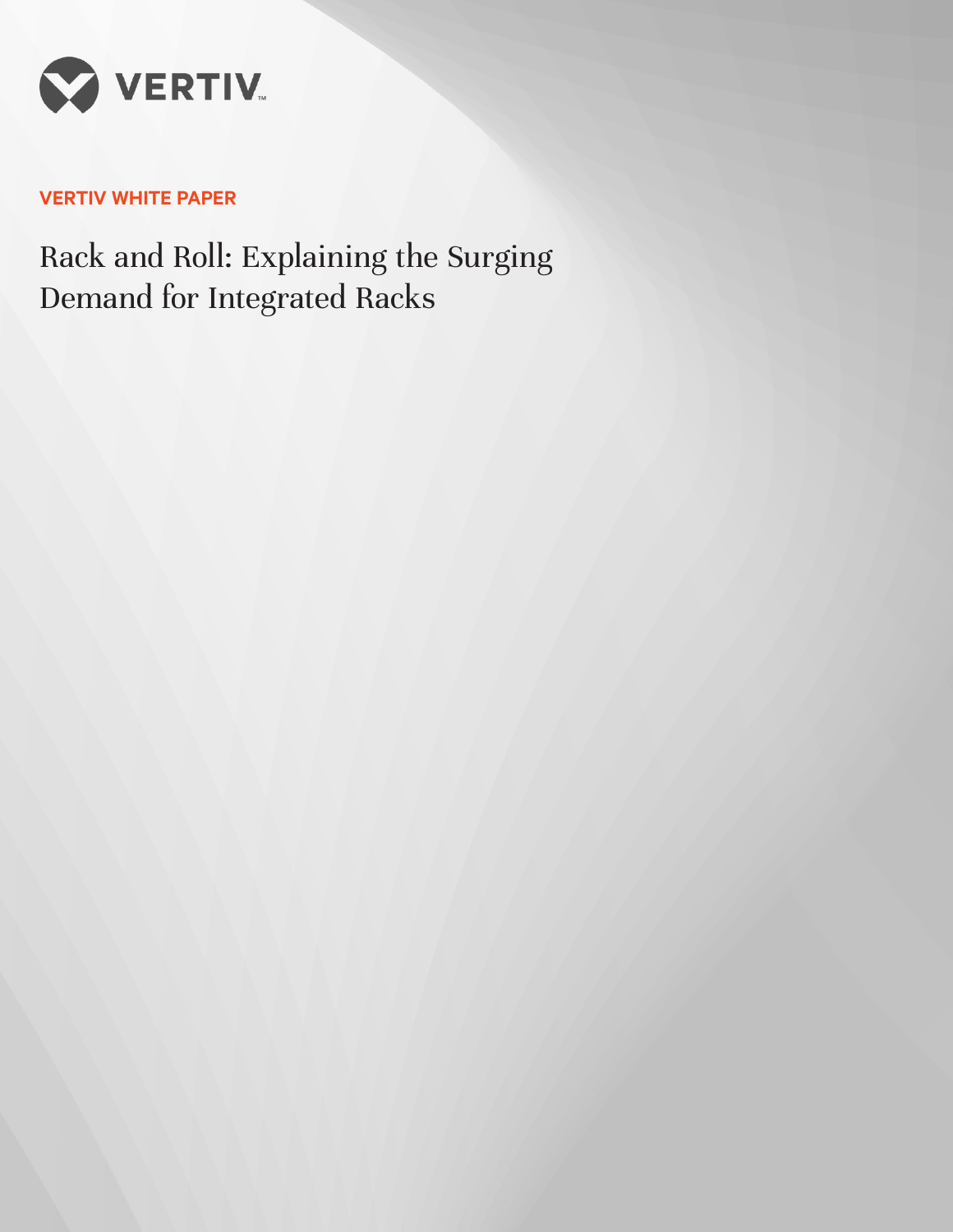

# **VERTIV WHITE PAPER**

Rack and Roll: Explaining the Surging Demand for Integrated Racks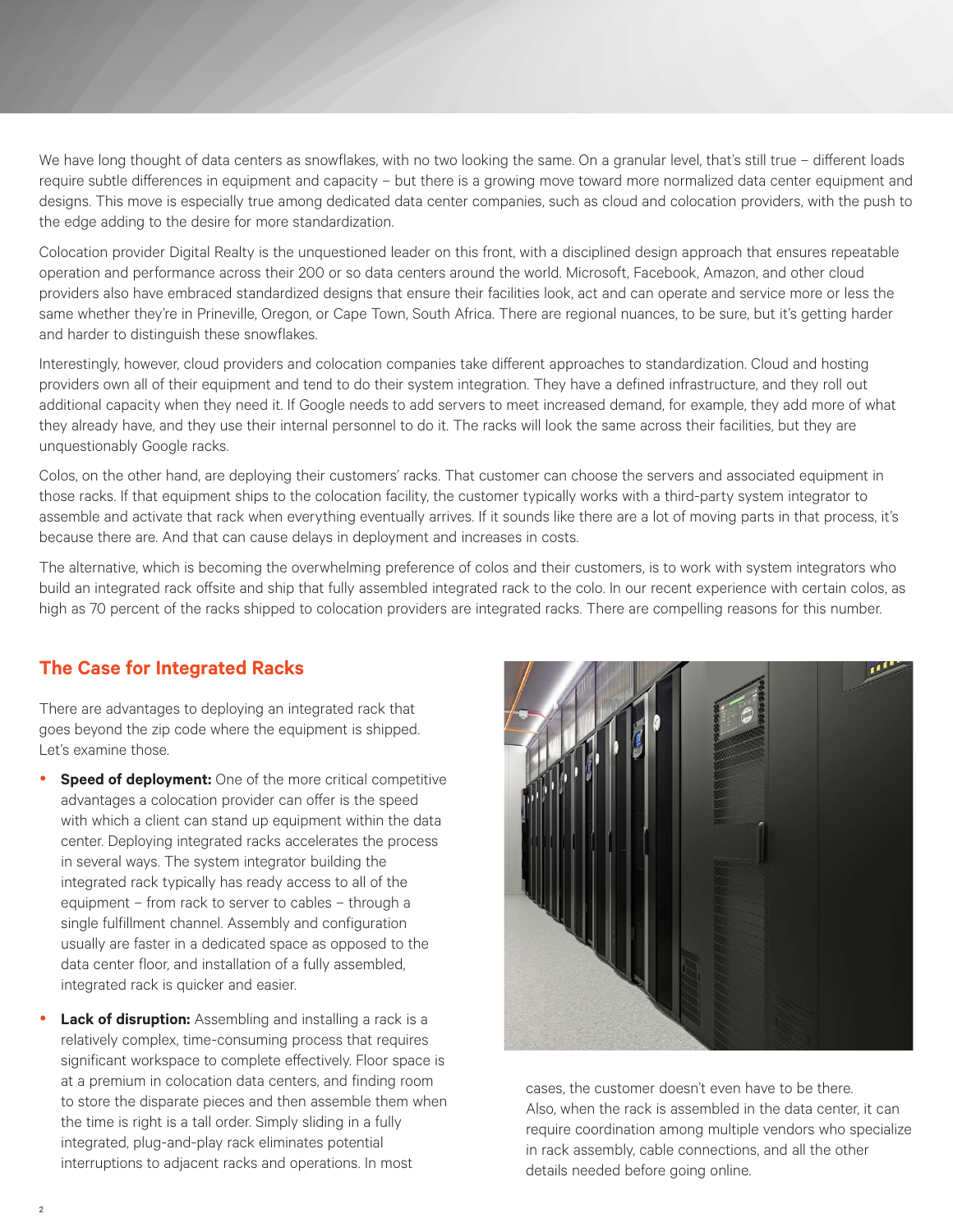We have long thought of data centers as snowflakes, with no two looking the same. On a granular level, that's still true – different loads require subtle differences in equipment and capacity – but there is a growing move toward more normalized data center equipment and designs. This move is especially true among dedicated data center companies, such as cloud and colocation providers, with the push to the edge adding to the desire for more standardization.

Colocation provider Digital Realty is the unquestioned leader on this front, with a disciplined design approach that ensures repeatable operation and performance across their 200 or so data centers around the world. Microsoft, Facebook, Amazon, and other cloud providers also have embraced standardized designs that ensure their facilities look, act and can operate and service more or less the same whether they're in Prineville, Oregon, or Cape Town, South Africa. There are regional nuances, to be sure, but it's getting harder and harder to distinguish these snowflakes.

Interestingly, however, cloud providers and colocation companies take different approaches to standardization. Cloud and hosting providers own all of their equipment and tend to do their system integration. They have a defined infrastructure, and they roll out additional capacity when they need it. If Google needs to add servers to meet increased demand, for example, they add more of what they already have, and they use their internal personnel to do it. The racks will look the same across their facilities, but they are unquestionably Google racks.

Colos, on the other hand, are deploying their customers' racks. That customer can choose the servers and associated equipment in those racks. If that equipment ships to the colocation facility, the customer typically works with a third-party system integrator to assemble and activate that rack when everything eventually arrives. If it sounds like there are a lot of moving parts in that process, it's because there are. And that can cause delays in deployment and increases in costs.

The alternative, which is becoming the overwhelming preference of colos and their customers, is to work with system integrators who build an integrated rack offsite and ship that fully assembled integrated rack to the colo. In our recent experience with certain colos, as high as 70 percent of the racks shipped to colocation providers are integrated racks. There are compelling reasons for this number.

# **The Case for Integrated Racks**

There are advantages to deploying an integrated rack that goes beyond the zip code where the equipment is shipped. Let's examine those.

- **Speed of deployment:** One of the more critical competitive advantages a colocation provider can offer is the speed with which a client can stand up equipment within the data center. Deploying integrated racks accelerates the process in several ways. The system integrator building the integrated rack typically has ready access to all of the equipment – from rack to server to cables – through a single fulfillment channel. Assembly and configuration usually are faster in a dedicated space as opposed to the data center floor, and installation of a fully assembled, integrated rack is quicker and easier.
- Lack of disruption: Assembling and installing a rack is a relatively complex, time-consuming process that requires significant workspace to complete effectively. Floor space is at a premium in colocation data centers, and finding room to store the disparate pieces and then assemble them when the time is right is a tall order. Simply sliding in a fully integrated, plug-and-play rack eliminates potential interruptions to adjacent racks and operations. In most



cases, the customer doesn't even have to be there. Also, when the rack is assembled in the data center, it can require coordination among multiple vendors who specialize in rack assembly, cable connections, and all the other details needed before going online.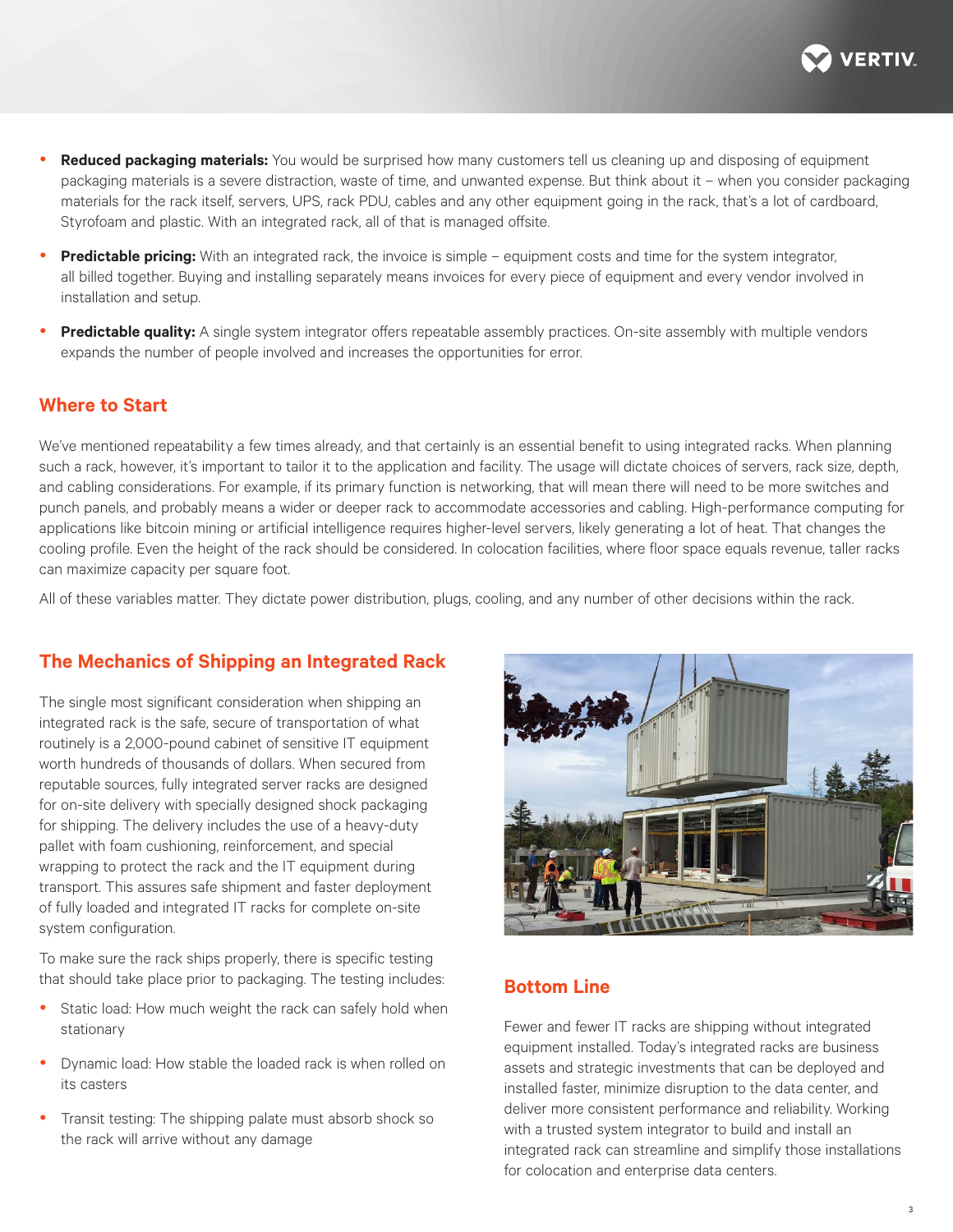

- **Reduced packaging materials:** You would be surprised how many customers tell us cleaning up and disposing of equipment packaging materials is a severe distraction, waste of time, and unwanted expense. But think about it – when you consider packaging materials for the rack itself, servers, UPS, rack PDU, cables and any other equipment going in the rack, that's a lot of cardboard, Styrofoam and plastic. With an integrated rack, all of that is managed offsite.
- **Predictable pricing:** With an integrated rack, the invoice is simple equipment costs and time for the system integrator, all billed together. Buying and installing separately means invoices for every piece of equipment and every vendor involved in installation and setup.
- Predictable quality: A single system integrator offers repeatable assembly practices. On-site assembly with multiple vendors expands the number of people involved and increases the opportunities for error.

#### **Where to Start**

We've mentioned repeatability a few times already, and that certainly is an essential benefit to using integrated racks. When planning such a rack, however, it's important to tailor it to the application and facility. The usage will dictate choices of servers, rack size, depth, and cabling considerations. For example, if its primary function is networking, that will mean there will need to be more switches and punch panels, and probably means a wider or deeper rack to accommodate accessories and cabling. High-performance computing for applications like bitcoin mining or artificial intelligence requires higher-level servers, likely generating a lot of heat. That changes the cooling profile. Even the height of the rack should be considered. In colocation facilities, where floor space equals revenue, taller racks can maximize capacity per square foot.

All of these variables matter. They dictate power distribution, plugs, cooling, and any number of other decisions within the rack.

### **The Mechanics of Shipping an Integrated Rack**

The single most significant consideration when shipping an integrated rack is the safe, secure of transportation of what routinely is a 2,000-pound cabinet of sensitive IT equipment worth hundreds of thousands of dollars. When secured from reputable sources, fully integrated server racks are designed for on-site delivery with specially designed shock packaging for shipping. The delivery includes the use of a heavy-duty pallet with foam cushioning, reinforcement, and special wrapping to protect the rack and the IT equipment during transport. This assures safe shipment and faster deployment of fully loaded and integrated IT racks for complete on-site system configuration.

To make sure the rack ships properly, there is specific testing that should take place prior to packaging. The testing includes:

- Static load: How much weight the rack can safely hold when stationary
- Dynamic load: How stable the loaded rack is when rolled on its casters
- Transit testing: The shipping palate must absorb shock so the rack will arrive without any damage



## **Bottom Line**

Fewer and fewer IT racks are shipping without integrated equipment installed. Today's integrated racks are business assets and strategic investments that can be deployed and installed faster, minimize disruption to the data center, and deliver more consistent performance and reliability. Working with a trusted system integrator to build and install an integrated rack can streamline and simplify those installations for colocation and enterprise data centers.